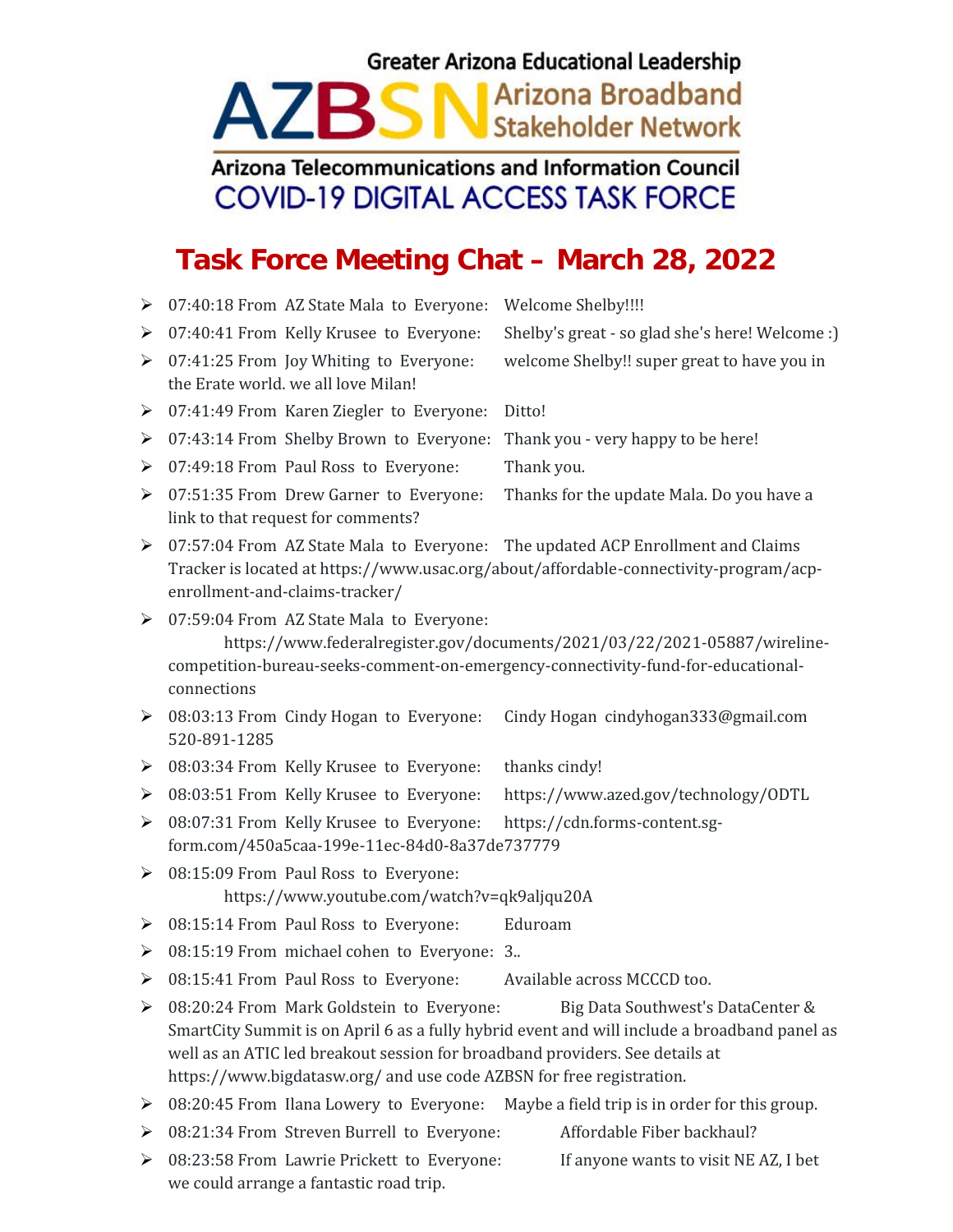## **Greater Arizona Educational Leadership**

## Arizona Broadband **AZBSN Stakeholder Network**

## Arizona Telecommunications and Information Council **COVID-19 DIGITAL ACCESS TASK FORCE**

## **Task Force Meeting Chat – March 28, 2022**

- ▶ 07:40:18 From AZ State Mala to Everyone: Welcome Shelby!!!!
- 
- 07:41:25 From Joy Whiting to Everyone: welcome Shelby!! super great to have you in the Erate world. we all love Milan!

07:40:41 From Kelly Krusee to Everyone: Shelby's great - so glad she's here! Welcome :)

- 07:41:49 From Karen Ziegler to Everyone: Ditto!
- 07:43:14 From Shelby Brown to Everyone: Thank you very happy to be here!
- ▶ 07:49:18 From Paul Ross to Everyone: Thank you.
- 07:51:35 From Drew Garner to Everyone: Thanks for the update Mala. Do you have a link to that request for comments?
- $\geq 07:57:04$  From AZ State Mala to Everyone: The updated ACP Enrollment and Claims Tracker is located at https://www.usac.org/about/affordable-connectivity-program/acp enrollment-and-claims-tracker/
- 07:59:04 From AZ State Mala to Everyone:

https://www.federalregister.gov/documents/2021/03/22/2021-05887/wireline competition-bureau-seeks-comment-on-emergency-connectivity-fund-for-educational connections

- 08:03:13 From Cindy Hogan to Everyone: Cindy Hogan cindyhogan333@gmail.com 520-891-1285
- ▶ 08:03:34 From Kelly Krusee to Everyone: thanks cindy!
- 08:03:51 From Kelly Krusee to Everyone: https://www.azed.gov/technology/ODTL
- 08:07:31 From Kelly Krusee to Everyone: https://cdn.forms-content.sgform.com/450a5caa-199e-11ec-84d0-8a37de737779
- 08:15:09 From Paul Ross to Everyone: https://www.youtube.com/watch?v=qk9aljqu20A
- ▶ 08:15:14 From Paul Ross to Everyone: Eduroam
- 08:15:19 From michael cohen to Everyone: 3..
- 08:15:41 From Paul Ross to Everyone: Available across MCCCD too.
- 08:20:24 From Mark Goldstein to Everyone: Big Data Southwest's DataCenter & SmartCity Summit is on April 6 as a fully hybrid event and will include a broadband panel as well as an ATIC led breakout session for broadband providers. See details at https://www.bigdatasw.org/ and use code AZBSN for free registration.
- ▶ 08:20:45 From Ilana Lowery to Everyone: Maybe a field trip is in order for this group.
- 08:21:34 From Streven Burrell to Everyone: Affordable Fiber backhaul?
- $\triangleright$  08:23:58 From Lawrie Prickett to Everyone: If anyone wants to visit NE AZ, I bet we could arrange a fantastic road trip.

- -